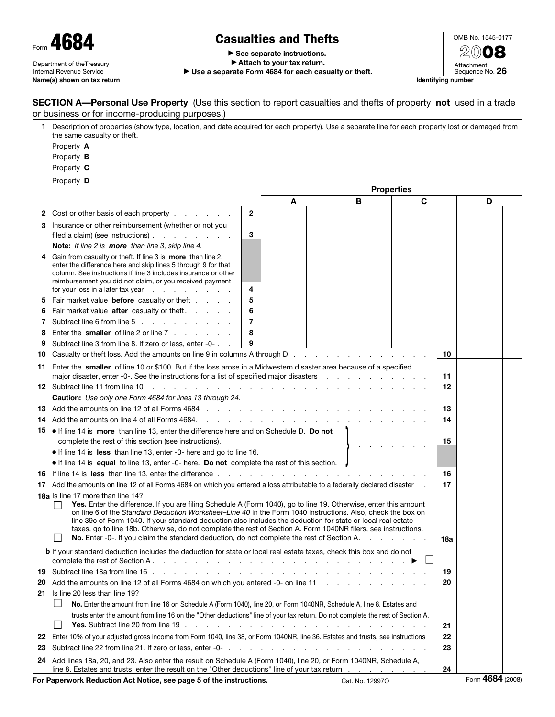| Form 4684                   | <b>Casualties and Thefts</b>                           |                    | OMB <sub>N</sub> |
|-----------------------------|--------------------------------------------------------|--------------------|------------------|
|                             | $\blacktriangleright$ See separate instructions.       |                    |                  |
| Department of theTreasury   | Attach to your tax return.                             |                    | Attach           |
| Internal Revenue Service    | ► Use a separate Form 4684 for each casualty or theft. |                    | Sequer           |
| Name(s) shown on tax return |                                                        | Identifying number |                  |

## Casualties and Thefts

Attachment<br>Sequence No. **26** 

OMB No. 1545-0177 **2008**

| <b>SECTION A—Personal Use Property</b> (Use this section to report casualties and thefts of property not used in a trade |  |  |
|--------------------------------------------------------------------------------------------------------------------------|--|--|
| or business or for income-producing purposes.)                                                                           |  |  |

|    | 1 Description of properties (show type, location, and date acquired for each property). Use a separate line for each property lost or damaged from<br>the same casualty or theft.                                                                                                                        |                   |   |   |   |          |   |  |
|----|----------------------------------------------------------------------------------------------------------------------------------------------------------------------------------------------------------------------------------------------------------------------------------------------------------|-------------------|---|---|---|----------|---|--|
|    | Property A                                                                                                                                                                                                                                                                                               |                   |   |   |   |          |   |  |
|    | Property <b>B</b>                                                                                                                                                                                                                                                                                        |                   |   |   |   |          |   |  |
|    | Property C                                                                                                                                                                                                                                                                                               |                   |   |   |   |          |   |  |
|    | Property <b>D</b>                                                                                                                                                                                                                                                                                        |                   |   |   |   |          |   |  |
|    |                                                                                                                                                                                                                                                                                                          | <b>Properties</b> |   |   |   |          |   |  |
|    |                                                                                                                                                                                                                                                                                                          |                   | A | в | C |          | D |  |
|    | 2 Cost or other basis of each property entitled by cost or other has been a control of the cost of the cost of the cost of the cost of the cost of the cost of the cost of the cost of the cost of the cost of the cost of the                                                                           | $\overline{2}$    |   |   |   |          |   |  |
|    | 3 Insurance or other reimbursement (whether or not you                                                                                                                                                                                                                                                   |                   |   |   |   |          |   |  |
|    | filed a claim) (see instructions) $\ldots$ $\ldots$ $\ldots$                                                                                                                                                                                                                                             | 3                 |   |   |   |          |   |  |
|    | Note: If line 2 is more than line 3, skip line 4.                                                                                                                                                                                                                                                        |                   |   |   |   |          |   |  |
|    | 4 Gain from casualty or theft. If line 3 is <b>more</b> than line 2,                                                                                                                                                                                                                                     |                   |   |   |   |          |   |  |
|    | enter the difference here and skip lines 5 through 9 for that<br>column. See instructions if line 3 includes insurance or other                                                                                                                                                                          |                   |   |   |   |          |   |  |
|    | reimbursement you did not claim, or you received payment                                                                                                                                                                                                                                                 |                   |   |   |   |          |   |  |
|    | for your loss in a later tax year $\cdots$ $\cdots$                                                                                                                                                                                                                                                      | 4                 |   |   |   |          |   |  |
|    | 5 Fair market value before casualty or theft                                                                                                                                                                                                                                                             | 5                 |   |   |   |          |   |  |
|    | 6 Fair market value after casualty or theft.                                                                                                                                                                                                                                                             | 6                 |   |   |   |          |   |  |
|    | 7 Subtract line 6 from line 5                                                                                                                                                                                                                                                                            | 7                 |   |   |   |          |   |  |
|    | 8 Enter the smaller of line 2 or line 7                                                                                                                                                                                                                                                                  | 8                 |   |   |   |          |   |  |
| 9  | Subtract line 3 from line 8. If zero or less, enter -0-                                                                                                                                                                                                                                                  | 9                 |   |   |   |          |   |  |
| 10 |                                                                                                                                                                                                                                                                                                          |                   |   |   |   | 10       |   |  |
|    | 11 Enter the smaller of line 10 or \$100. But if the loss arose in a Midwestern disaster area because of a specified<br>major disaster, enter -0-. See the instructions for a list of specified major disasters enter the state of the state of the instructions for a list of specified major disasters |                   |   |   |   | 11       |   |  |
|    |                                                                                                                                                                                                                                                                                                          |                   |   |   |   | 12       |   |  |
|    | Caution: Use only one Form 4684 for lines 13 through 24.                                                                                                                                                                                                                                                 |                   |   |   |   |          |   |  |
|    |                                                                                                                                                                                                                                                                                                          |                   |   |   |   | 13       |   |  |
|    | <b>14</b> Add the amounts on line 4 of all Forms 4684.                                                                                                                                                                                                                                                   |                   |   |   |   | 14       |   |  |
|    | <b>15</b> • If line 14 is <b>more</b> than line 13, enter the difference here and on Schedule D. <b>Do not</b><br>complete the rest of this section (see instructions).                                                                                                                                  |                   |   |   |   |          |   |  |
|    |                                                                                                                                                                                                                                                                                                          |                   |   |   |   | 15       |   |  |
|    | • If line 14 is less than line 13, enter -0- here and go to line 16.                                                                                                                                                                                                                                     |                   |   |   |   |          |   |  |
|    | • If line 14 is equal to line 13, enter -0- here. Do not complete the rest of this section.                                                                                                                                                                                                              |                   |   |   |   |          |   |  |
|    |                                                                                                                                                                                                                                                                                                          |                   |   |   |   | 16       |   |  |
|    | 17 Add the amounts on line 12 of all Forms 4684 on which you entered a loss attributable to a federally declared disaster.                                                                                                                                                                               |                   |   |   |   |          |   |  |
|    | 18a Is line 17 more than line 14?                                                                                                                                                                                                                                                                        |                   |   |   |   |          |   |  |
|    | Yes. Enter the difference. If you are filing Schedule A (Form 1040), go to line 19. Otherwise, enter this amount<br>on line 6 of the Standard Deduction Worksheet-Line 40 in the Form 1040 instructions. Also, check the box on                                                                          |                   |   |   |   |          |   |  |
|    | line 39c of Form 1040. If your standard deduction also includes the deduction for state or local real estate                                                                                                                                                                                             |                   |   |   |   |          |   |  |
|    | taxes, go to line 18b. Otherwise, do not complete the rest of Section A. Form 1040NR filers, see instructions.                                                                                                                                                                                           |                   |   |   |   |          |   |  |
|    | No. Enter -0-. If you claim the standard deduction, do not complete the rest of Section A.                                                                                                                                                                                                               |                   |   |   |   | 18a      |   |  |
|    | <b>b</b> If your standard deduction includes the deduction for state or local real estate taxes, check this box and do not                                                                                                                                                                               |                   |   |   |   |          |   |  |
|    | and the contract of the contract of the contract of the contract of the contract of the contract of the contract of the contract of the contract of the contract of the contract of the contract of the contract of the contra<br>complete the rest of Section A.                                        |                   |   |   |   |          |   |  |
|    |                                                                                                                                                                                                                                                                                                          |                   |   |   |   | 19       |   |  |
|    | 20 Add the amounts on line 12 of all Forms 4684 on which you entered -0- on line 11                                                                                                                                                                                                                      |                   |   |   |   | 20       |   |  |
|    | 21 Is line 20 less than line 19?                                                                                                                                                                                                                                                                         |                   |   |   |   |          |   |  |
|    | No. Enter the amount from line 16 on Schedule A (Form 1040), line 20, or Form 1040NR, Schedule A, line 8. Estates and<br>trusts enter the amount from line 16 on the "Other deductions" line of your tax return. Do not complete the rest of Section A.                                                  |                   |   |   |   |          |   |  |
|    |                                                                                                                                                                                                                                                                                                          |                   |   |   |   |          |   |  |
|    | 22 Enter 10% of your adjusted gross income from Form 1040, line 38, or Form 1040NR, line 36. Estates and trusts, see instructions                                                                                                                                                                        |                   |   |   |   | 21<br>22 |   |  |
|    |                                                                                                                                                                                                                                                                                                          |                   |   |   |   | 23       |   |  |
|    |                                                                                                                                                                                                                                                                                                          |                   |   |   |   |          |   |  |
|    | 24 Add lines 18a, 20, and 23. Also enter the result on Schedule A (Form 1040), line 20, or Form 1040NR, Schedule A,<br>line 8. Estates and trusts, enter the result on the "Other deductions" line of your tax return $\ldots$ $\ldots$                                                                  |                   |   |   |   | 24       |   |  |